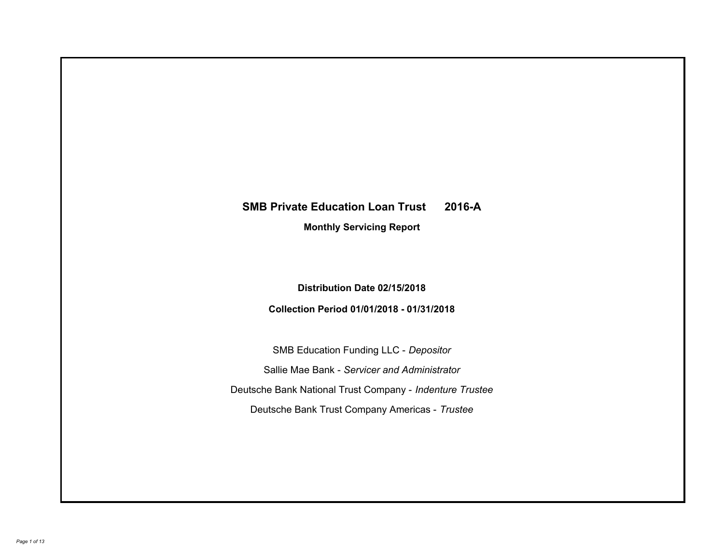# **SMB Private Education Loan Trust 2016-A**

**Monthly Servicing Report**

**Distribution Date 02/15/2018**

**Collection Period 01/01/2018 - 01/31/2018**

SMB Education Funding LLC - *Depositor* Sallie Mae Bank - *Servicer and Administrator* Deutsche Bank National Trust Company - *Indenture Trustee* Deutsche Bank Trust Company Americas - *Trustee*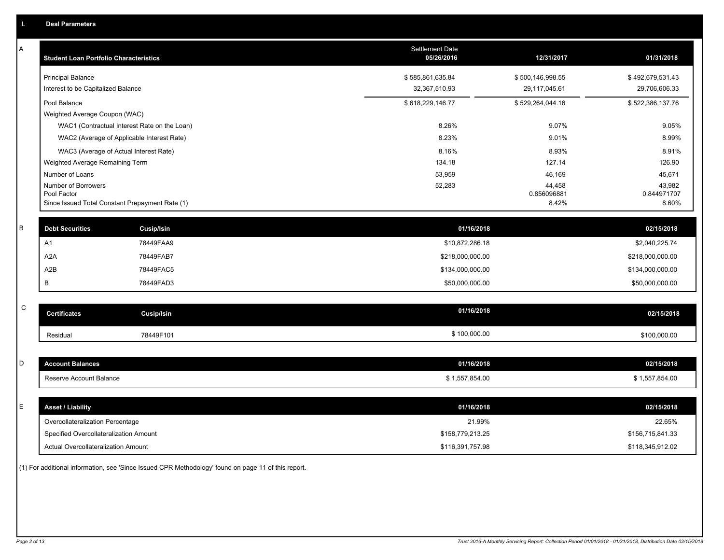A

| <b>Student Loan Portfolio Characteristics</b>                                         | <b>Settlement Date</b><br>05/26/2016 | 12/31/2017                        | 01/31/2018                        |
|---------------------------------------------------------------------------------------|--------------------------------------|-----------------------------------|-----------------------------------|
| <b>Principal Balance</b><br>Interest to be Capitalized Balance                        | \$585,861,635.84<br>32,367,510.93    | \$500,146,998.55<br>29,117,045.61 | \$492,679,531.43<br>29,706,606.33 |
| Pool Balance                                                                          | \$618,229,146.77                     | \$529,264,044.16                  | \$522,386,137.76                  |
| Weighted Average Coupon (WAC)                                                         |                                      |                                   |                                   |
| WAC1 (Contractual Interest Rate on the Loan)                                          | 8.26%                                | 9.07%                             | 9.05%                             |
| WAC2 (Average of Applicable Interest Rate)                                            | 8.23%                                | 9.01%                             | 8.99%                             |
| WAC3 (Average of Actual Interest Rate)                                                | 8.16%                                | 8.93%                             | 8.91%                             |
| Weighted Average Remaining Term                                                       | 134.18                               | 127.14                            | 126.90                            |
| Number of Loans                                                                       | 53,959                               | 46,169                            | 45,671                            |
| Number of Borrowers<br>Pool Factor<br>Since Issued Total Constant Prepayment Rate (1) | 52,283                               | 44,458<br>0.856096881<br>8.42%    | 43,982<br>0.844971707<br>8.60%    |

| <b>Debt Securities</b> | Cusip/Isin | 01/16/2018       | 02/15/2018       |
|------------------------|------------|------------------|------------------|
| H <sub>1</sub>         | 78449FAA9  | \$10,872,286.18  | \$2,040,225.74   |
| A2A                    | 78449FAB7  | \$218,000,000.00 | \$218,000,000.00 |
| A2B                    | 78449FAC5  | \$134,000,000.00 | \$134,000,000.00 |
|                        | 78449FAD3  | \$50,000,000.00  | \$50,000,000.00  |

| $\sim$<br>◡ | <b>Certificates</b> | Cusip/Isin | 01/16/2018   | 02/15/2018   |
|-------------|---------------------|------------|--------------|--------------|
|             | Residua             | 78449F101  | \$100,000.00 | \$100,000.00 |

| $\overline{ }$ | <b>Account Balances</b> | 01/16/2018     | 02/15/2018     |
|----------------|-------------------------|----------------|----------------|
|                | Reserve Account Balance | \$1,557,854.00 | \$1,557,854.00 |

| E | Asset / Liability                      | 01/16/2018       | 02/15/2018       |
|---|----------------------------------------|------------------|------------------|
|   | Overcollateralization Percentage       | 21.99%           | 22.65%           |
|   | Specified Overcollateralization Amount | \$158,779,213.25 | \$156,715,841.33 |
|   | Actual Overcollateralization Amount    | \$116,391,757.98 | \$118,345,912.02 |

(1) For additional information, see 'Since Issued CPR Methodology' found on page 11 of this report.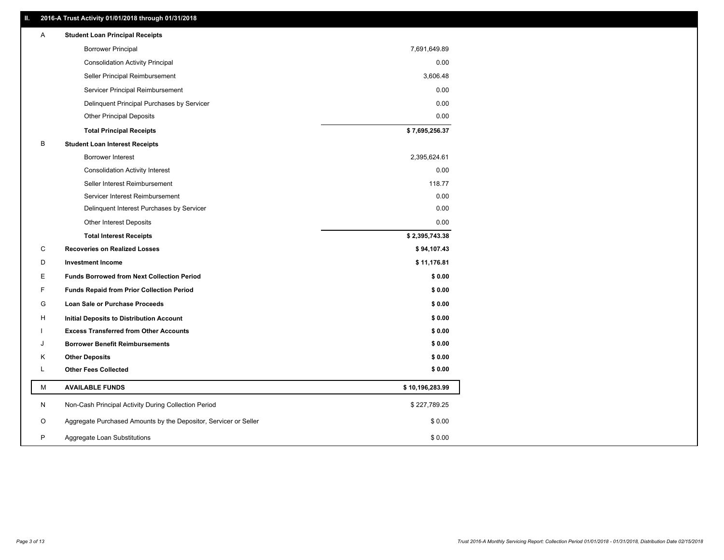# **II. 2016-A Trust Activity 01/01/2018 through 01/31/2018**

| A | <b>Student Loan Principal Receipts</b>                           |                 |
|---|------------------------------------------------------------------|-----------------|
|   | <b>Borrower Principal</b>                                        | 7,691,649.89    |
|   | <b>Consolidation Activity Principal</b>                          | 0.00            |
|   | Seller Principal Reimbursement                                   | 3,606.48        |
|   | Servicer Principal Reimbursement                                 | 0.00            |
|   | Delinquent Principal Purchases by Servicer                       | 0.00            |
|   | <b>Other Principal Deposits</b>                                  | 0.00            |
|   | <b>Total Principal Receipts</b>                                  | \$7,695,256.37  |
| B | <b>Student Loan Interest Receipts</b>                            |                 |
|   | Borrower Interest                                                | 2,395,624.61    |
|   | <b>Consolidation Activity Interest</b>                           | 0.00            |
|   | Seller Interest Reimbursement                                    | 118.77          |
|   | Servicer Interest Reimbursement                                  | 0.00            |
|   | Delinquent Interest Purchases by Servicer                        | 0.00            |
|   | Other Interest Deposits                                          | 0.00            |
|   | <b>Total Interest Receipts</b>                                   | \$2,395,743.38  |
| С | <b>Recoveries on Realized Losses</b>                             | \$94,107.43     |
| D | <b>Investment Income</b>                                         | \$11,176.81     |
| Е | <b>Funds Borrowed from Next Collection Period</b>                | \$0.00          |
| F | <b>Funds Repaid from Prior Collection Period</b>                 | \$0.00          |
| G | Loan Sale or Purchase Proceeds                                   | \$0.00          |
| н | Initial Deposits to Distribution Account                         | \$0.00          |
|   | <b>Excess Transferred from Other Accounts</b>                    | \$0.00          |
| J | <b>Borrower Benefit Reimbursements</b>                           | \$0.00          |
| κ | <b>Other Deposits</b>                                            | \$0.00          |
| L | <b>Other Fees Collected</b>                                      | \$0.00          |
| М | <b>AVAILABLE FUNDS</b>                                           | \$10,196,283.99 |
| N | Non-Cash Principal Activity During Collection Period             | \$227,789.25    |
| O | Aggregate Purchased Amounts by the Depositor, Servicer or Seller | \$0.00          |
| P | Aggregate Loan Substitutions                                     | \$0.00          |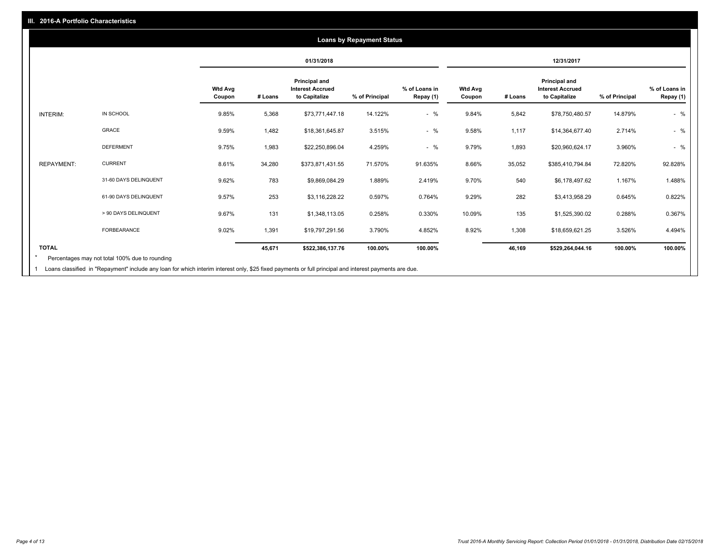|                   |                       |                          |         | 01/31/2018                                                       |                |                            |                          |         | 12/31/2017                                                       |                |                            |
|-------------------|-----------------------|--------------------------|---------|------------------------------------------------------------------|----------------|----------------------------|--------------------------|---------|------------------------------------------------------------------|----------------|----------------------------|
|                   |                       | <b>Wtd Avg</b><br>Coupon | # Loans | <b>Principal and</b><br><b>Interest Accrued</b><br>to Capitalize | % of Principal | % of Loans in<br>Repay (1) | <b>Wtd Avg</b><br>Coupon | # Loans | <b>Principal and</b><br><b>Interest Accrued</b><br>to Capitalize | % of Principal | % of Loans in<br>Repay (1) |
| <b>INTERIM:</b>   | IN SCHOOL             | 9.85%                    | 5,368   | \$73,771,447.18                                                  | 14.122%        | $-$ %                      | 9.84%                    | 5,842   | \$78,750,480.57                                                  | 14.879%        | $-$ %                      |
|                   | GRACE                 | 9.59%                    | 1,482   | \$18,361,645.87                                                  | 3.515%         | $-$ %                      | 9.58%                    | 1,117   | \$14,364,677.40                                                  | 2.714%         | $-$ %                      |
|                   | <b>DEFERMENT</b>      | 9.75%                    | 1,983   | \$22,250,896.04                                                  | 4.259%         | $-$ %                      | 9.79%                    | 1,893   | \$20,960,624.17                                                  | 3.960%         | $-$ %                      |
| <b>REPAYMENT:</b> | <b>CURRENT</b>        | 8.61%                    | 34,280  | \$373,871,431.55                                                 | 71.570%        | 91.635%                    | 8.66%                    | 35,052  | \$385,410,794.84                                                 | 72.820%        | 92.828%                    |
|                   | 31-60 DAYS DELINQUENT | 9.62%                    | 783     | \$9,869,084.29                                                   | 1.889%         | 2.419%                     | 9.70%                    | 540     | \$6,178,497.62                                                   | 1.167%         | 1.488%                     |
|                   | 61-90 DAYS DELINQUENT | 9.57%                    | 253     | \$3,116,228.22                                                   | 0.597%         | 0.764%                     | 9.29%                    | 282     | \$3,413,958.29                                                   | 0.645%         | 0.822%                     |
|                   | > 90 DAYS DELINQUENT  | 9.67%                    | 131     | \$1,348,113.05                                                   | 0.258%         | 0.330%                     | 10.09%                   | 135     | \$1,525,390.02                                                   | 0.288%         | 0.367%                     |
|                   | <b>FORBEARANCE</b>    | 9.02%                    | 1,391   | \$19,797,291.56                                                  | 3.790%         | 4.852%                     | 8.92%                    | 1,308   | \$18,659,621.25                                                  | 3.526%         | 4.494%                     |
| <b>TOTAL</b>      |                       |                          | 45,671  | \$522,386,137.76                                                 | 100.00%        | 100.00%                    |                          | 46,169  | \$529,264,044.16                                                 | 100.00%        | 100.00%                    |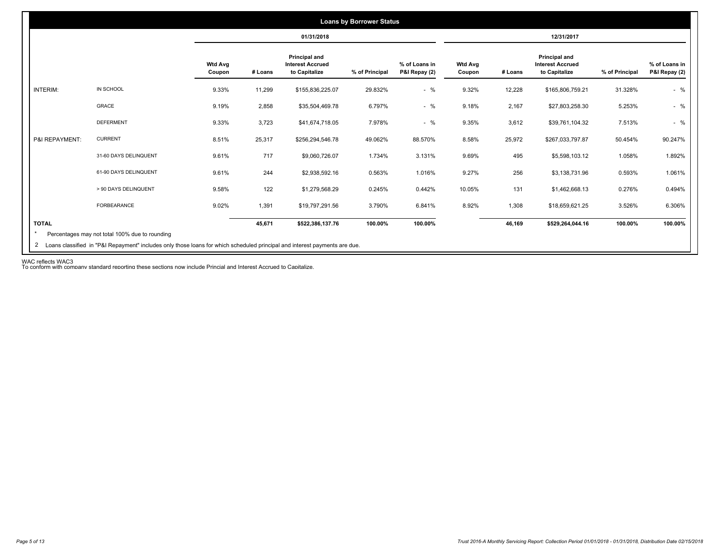| <b>Loans by Borrower Status</b> |                                                |                          |         |                                                           |                |                                |                          |         |                                                                  |                |                                |
|---------------------------------|------------------------------------------------|--------------------------|---------|-----------------------------------------------------------|----------------|--------------------------------|--------------------------|---------|------------------------------------------------------------------|----------------|--------------------------------|
|                                 |                                                |                          |         | 01/31/2018                                                |                |                                |                          |         | 12/31/2017                                                       |                |                                |
|                                 |                                                | <b>Wtd Avg</b><br>Coupon | # Loans | Principal and<br><b>Interest Accrued</b><br>to Capitalize | % of Principal | % of Loans in<br>P&I Repay (2) | <b>Wtd Avg</b><br>Coupon | # Loans | <b>Principal and</b><br><b>Interest Accrued</b><br>to Capitalize | % of Principal | % of Loans in<br>P&I Repay (2) |
| <b>INTERIM:</b>                 | IN SCHOOL                                      | 9.33%                    | 11,299  | \$155,836,225.07                                          | 29.832%        | $-$ %                          | 9.32%                    | 12,228  | \$165,806,759.21                                                 | 31.328%        | $-$ %                          |
|                                 | GRACE                                          | 9.19%                    | 2,858   | \$35,504,469.78                                           | 6.797%         | $-$ %                          | 9.18%                    | 2,167   | \$27,803,258.30                                                  | 5.253%         | $-$ %                          |
|                                 | <b>DEFERMENT</b>                               | 9.33%                    | 3,723   | \$41,674,718.05                                           | 7.978%         | $-$ %                          | 9.35%                    | 3,612   | \$39,761,104.32                                                  | 7.513%         | $-$ %                          |
| P&I REPAYMENT:                  | <b>CURRENT</b>                                 | 8.51%                    | 25,317  | \$256,294,546.78                                          | 49.062%        | 88.570%                        | 8.58%                    | 25,972  | \$267,033,797.87                                                 | 50.454%        | 90.247%                        |
|                                 | 31-60 DAYS DELINQUENT                          | 9.61%                    | 717     | \$9,060,726.07                                            | 1.734%         | 3.131%                         | 9.69%                    | 495     | \$5,598,103.12                                                   | 1.058%         | 1.892%                         |
|                                 | 61-90 DAYS DELINQUENT                          | 9.61%                    | 244     | \$2,938,592.16                                            | 0.563%         | 1.016%                         | 9.27%                    | 256     | \$3,138,731.96                                                   | 0.593%         | 1.061%                         |
|                                 | > 90 DAYS DELINQUENT                           | 9.58%                    | 122     | \$1,279,568.29                                            | 0.245%         | 0.442%                         | 10.05%                   | 131     | \$1,462,668.13                                                   | 0.276%         | 0.494%                         |
|                                 | FORBEARANCE                                    | 9.02%                    | 1,391   | \$19,797,291.56                                           | 3.790%         | 6.841%                         | 8.92%                    | 1,308   | \$18,659,621.25                                                  | 3.526%         | 6.306%                         |
| <b>TOTAL</b>                    | Percentages may not total 100% due to rounding |                          | 45,671  | \$522,386,137.76                                          | 100.00%        | 100.00%                        |                          | 46,169  | \$529,264,044.16                                                 | 100.00%        | 100.00%                        |

WAC reflects WAC3 To conform with company standard reporting these sections now include Princial and Interest Accrued to Capitalize.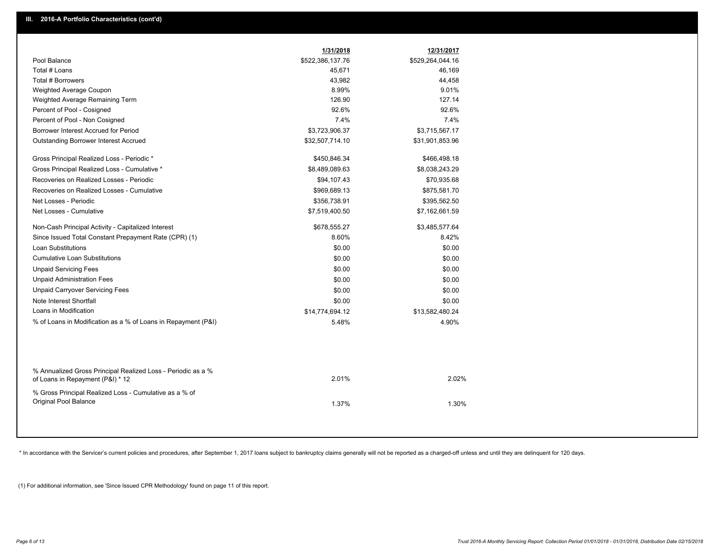|                                                                                                  | 1/31/2018        | 12/31/2017       |  |
|--------------------------------------------------------------------------------------------------|------------------|------------------|--|
| Pool Balance                                                                                     | \$522,386,137.76 | \$529,264,044.16 |  |
| Total # Loans                                                                                    | 45,671           | 46,169           |  |
| Total # Borrowers                                                                                | 43,982           | 44,458           |  |
| Weighted Average Coupon                                                                          | 8.99%            | 9.01%            |  |
| Weighted Average Remaining Term                                                                  | 126.90           | 127.14           |  |
| Percent of Pool - Cosigned                                                                       | 92.6%            | 92.6%            |  |
| Percent of Pool - Non Cosigned                                                                   | 7.4%             | 7.4%             |  |
| Borrower Interest Accrued for Period                                                             | \$3,723,906.37   | \$3,715,567.17   |  |
| Outstanding Borrower Interest Accrued                                                            | \$32,507,714.10  | \$31,901,853.96  |  |
| Gross Principal Realized Loss - Periodic *                                                       | \$450,846.34     | \$466,498.18     |  |
| Gross Principal Realized Loss - Cumulative *                                                     | \$8,489,089.63   | \$8,038,243.29   |  |
| Recoveries on Realized Losses - Periodic                                                         | \$94,107.43      | \$70,935.68      |  |
| Recoveries on Realized Losses - Cumulative                                                       | \$969,689.13     | \$875,581.70     |  |
| Net Losses - Periodic                                                                            | \$356,738.91     | \$395,562.50     |  |
| Net Losses - Cumulative                                                                          | \$7,519,400.50   | \$7,162,661.59   |  |
| Non-Cash Principal Activity - Capitalized Interest                                               | \$678,555.27     | \$3,485,577.64   |  |
| Since Issued Total Constant Prepayment Rate (CPR) (1)                                            | 8.60%            | 8.42%            |  |
| <b>Loan Substitutions</b>                                                                        | \$0.00           | \$0.00           |  |
| <b>Cumulative Loan Substitutions</b>                                                             | \$0.00           | \$0.00           |  |
| <b>Unpaid Servicing Fees</b>                                                                     | \$0.00           | \$0.00           |  |
| <b>Unpaid Administration Fees</b>                                                                | \$0.00           | \$0.00           |  |
| <b>Unpaid Carryover Servicing Fees</b>                                                           | \$0.00           | \$0.00           |  |
| Note Interest Shortfall                                                                          | \$0.00           | \$0.00           |  |
| Loans in Modification                                                                            | \$14,774,694.12  | \$13,582,480.24  |  |
| % of Loans in Modification as a % of Loans in Repayment (P&I)                                    | 5.48%            | 4.90%            |  |
|                                                                                                  |                  |                  |  |
| % Annualized Gross Principal Realized Loss - Periodic as a %<br>of Loans in Repayment (P&I) * 12 | 2.01%            | 2.02%            |  |
| % Gross Principal Realized Loss - Cumulative as a % of<br>Original Pool Balance                  | 1.37%            | 1.30%            |  |

\* In accordance with the Servicer's current policies and procedures, after September 1, 2017 loans subject to bankruptcy claims generally will not be reported as a charged-off unless and until they are delinquent for 120 d

(1) For additional information, see 'Since Issued CPR Methodology' found on page 11 of this report.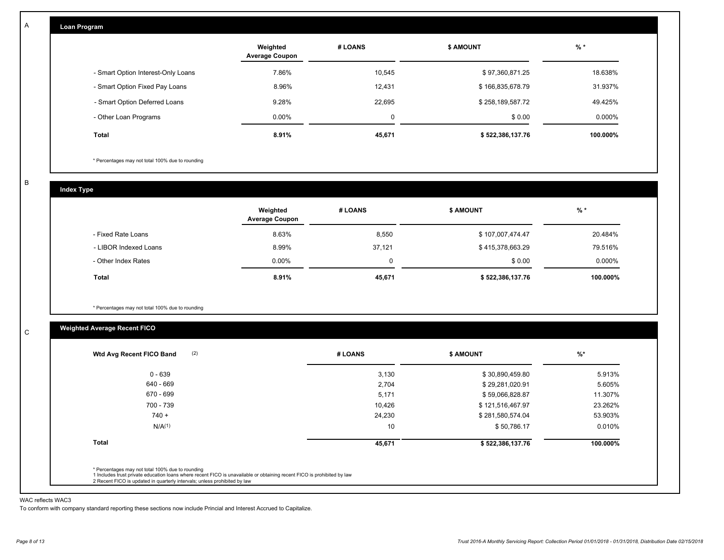|  | <b>Loan Program</b> |  |
|--|---------------------|--|
|  |                     |  |

|                                    | Weighted<br><b>Average Coupon</b> | # LOANS     | <b>S AMOUNT</b>  | $%$ *     |
|------------------------------------|-----------------------------------|-------------|------------------|-----------|
| - Smart Option Interest-Only Loans | 7.86%                             | 10,545      | \$97,360,871.25  | 18.638%   |
| - Smart Option Fixed Pay Loans     | 8.96%                             | 12.431      | \$166,835,678.79 | 31.937%   |
| - Smart Option Deferred Loans      | 9.28%                             | 22.695      | \$258,189,587.72 | 49.425%   |
| - Other Loan Programs              | $0.00\%$                          | $\mathbf 0$ | \$0.00           | $0.000\%$ |
| Total                              | 8.91%                             | 45,671      | \$522,386,137.76 | 100.000%  |

\* Percentages may not total 100% due to rounding

B

C

A

| <b>Index Type</b>     |                                   |         |                  |          |
|-----------------------|-----------------------------------|---------|------------------|----------|
|                       | Weighted<br><b>Average Coupon</b> | # LOANS | <b>\$ AMOUNT</b> | $%$ *    |
| - Fixed Rate Loans    | 8.63%                             | 8,550   | \$107,007,474.47 | 20.484%  |
| - LIBOR Indexed Loans | 8.99%                             | 37,121  | \$415,378,663.29 | 79.516%  |
| - Other Index Rates   | $0.00\%$                          | 0       | \$0.00           | 0.000%   |
| Total                 | 8.91%                             | 45,671  | \$522,386,137.76 | 100.000% |

\* Percentages may not total 100% due to rounding

# **Weighted Average Recent FICO**

| $0 - 639$          | 3,130  | \$30,890,459.80  | 5.913%   |
|--------------------|--------|------------------|----------|
| 640 - 669          | 2,704  | \$29,281,020.91  | 5.605%   |
| 670 - 699          | 5,171  | \$59,066,828.87  | 11.307%  |
| 700 - 739          | 10,426 | \$121,516,467.97 | 23.262%  |
| $740 +$            | 24,230 | \$281,580,574.04 | 53.903%  |
| N/A <sup>(1)</sup> | 10     | \$50,786.17      | 0.010%   |
| Total              | 45,671 | \$522,386,137.76 | 100.000% |

#### WAC reflects WAC3

To conform with company standard reporting these sections now include Princial and Interest Accrued to Capitalize.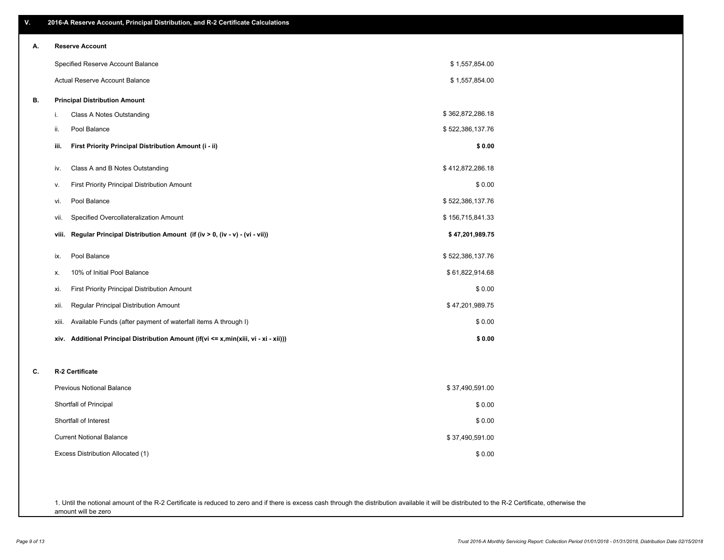| V. | 2016-A Reserve Account, Principal Distribution, and R-2 Certificate Calculations     |                  |
|----|--------------------------------------------------------------------------------------|------------------|
| А. | <b>Reserve Account</b>                                                               |                  |
|    | Specified Reserve Account Balance                                                    | \$1,557,854.00   |
|    | Actual Reserve Account Balance                                                       | \$1,557,854.00   |
| В. | <b>Principal Distribution Amount</b>                                                 |                  |
|    | Class A Notes Outstanding<br>i.                                                      | \$362,872,286.18 |
|    | Pool Balance<br>ii.                                                                  | \$522,386,137.76 |
|    | First Priority Principal Distribution Amount (i - ii)<br>iii.                        | \$0.00           |
|    | Class A and B Notes Outstanding<br>iv.                                               | \$412,872,286.18 |
|    | First Priority Principal Distribution Amount<br>۷.                                   | \$0.00           |
|    | Pool Balance<br>vi.                                                                  | \$522,386,137.76 |
|    | Specified Overcollateralization Amount<br>vii.                                       | \$156,715,841.33 |
|    | Regular Principal Distribution Amount (if (iv > 0, (iv - v) - (vi - vii))<br>viii.   | \$47,201,989.75  |
|    | Pool Balance<br>ix.                                                                  | \$522,386,137.76 |
|    | 10% of Initial Pool Balance<br>х.                                                    | \$61,822,914.68  |
|    | First Priority Principal Distribution Amount<br>xi.                                  | \$0.00           |
|    | Regular Principal Distribution Amount<br>xii.                                        | \$47,201,989.75  |
|    | Available Funds (after payment of waterfall items A through I)<br>xiii.              | \$0.00           |
|    | xiv. Additional Principal Distribution Amount (if(vi <= x,min(xiii, vi - xi - xii))) | \$0.00           |
| C. | R-2 Certificate                                                                      |                  |
|    | <b>Previous Notional Balance</b>                                                     | \$37,490,591.00  |
|    | Shortfall of Principal                                                               | \$0.00           |
|    | Shortfall of Interest                                                                | \$0.00           |
|    | <b>Current Notional Balance</b>                                                      | \$37,490,591.00  |
|    | Excess Distribution Allocated (1)                                                    | \$0.00           |
|    |                                                                                      |                  |
|    |                                                                                      |                  |

1. Until the notional amount of the R-2 Certificate is reduced to zero and if there is excess cash through the distribution available it will be distributed to the R-2 Certificate, otherwise the amount will be zero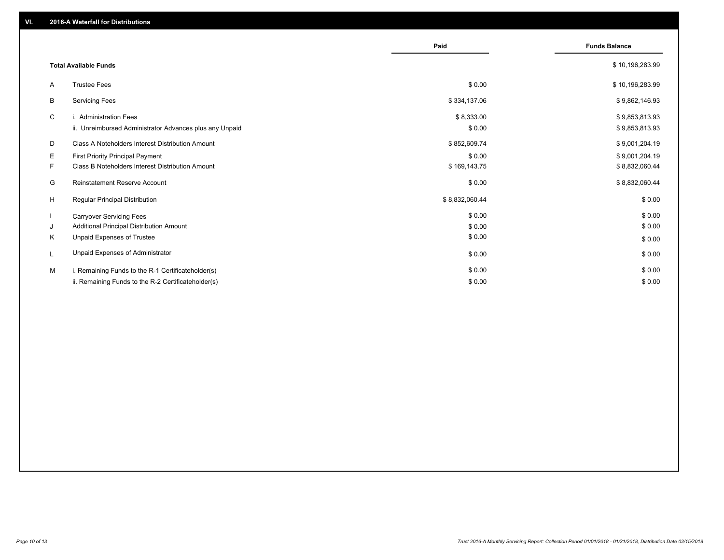|              |                                                         | Paid           | <b>Funds Balance</b> |
|--------------|---------------------------------------------------------|----------------|----------------------|
|              | <b>Total Available Funds</b>                            |                | \$10,196,283.99      |
| A            | <b>Trustee Fees</b>                                     | \$0.00         | \$10,196,283.99      |
| B            | <b>Servicing Fees</b>                                   | \$334,137.06   | \$9,862,146.93       |
| C            | i. Administration Fees                                  | \$8,333.00     | \$9,853,813.93       |
|              | ii. Unreimbursed Administrator Advances plus any Unpaid | \$0.00         | \$9,853,813.93       |
| D            | Class A Noteholders Interest Distribution Amount        | \$852,609.74   | \$9,001,204.19       |
| Е            | <b>First Priority Principal Payment</b>                 | \$0.00         | \$9,001,204.19       |
| F.           | Class B Noteholders Interest Distribution Amount        | \$169,143.75   | \$8,832,060.44       |
| G            | <b>Reinstatement Reserve Account</b>                    | \$0.00         | \$8,832,060.44       |
| H            | <b>Regular Principal Distribution</b>                   | \$8,832,060.44 | \$0.00               |
| $\mathbf{I}$ | <b>Carryover Servicing Fees</b>                         | \$0.00         | \$0.00               |
| J            | Additional Principal Distribution Amount                | \$0.00         | \$0.00               |
| K            | Unpaid Expenses of Trustee                              | \$0.00         | \$0.00               |
|              | Unpaid Expenses of Administrator                        | \$0.00         | \$0.00               |
| M            | i. Remaining Funds to the R-1 Certificateholder(s)      | \$0.00         | \$0.00               |
|              | ii. Remaining Funds to the R-2 Certificateholder(s)     | \$0.00         | \$0.00               |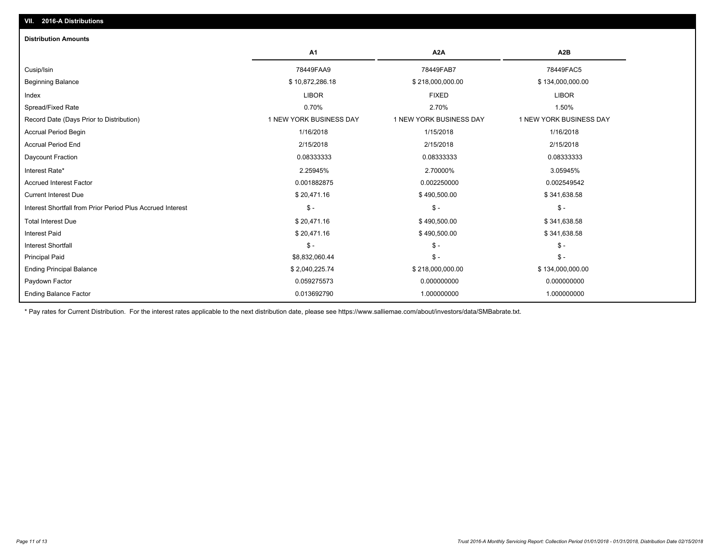| <b>Distribution Amounts</b>                                |                         |                         |                         |
|------------------------------------------------------------|-------------------------|-------------------------|-------------------------|
|                                                            | A <sub>1</sub>          | A <sub>2</sub> A        | A <sub>2</sub> B        |
| Cusip/Isin                                                 | 78449FAA9               | 78449FAB7               | 78449FAC5               |
| <b>Beginning Balance</b>                                   | \$10,872,286.18         | \$218,000,000.00        | \$134,000,000.00        |
| Index                                                      | <b>LIBOR</b>            | <b>FIXED</b>            | <b>LIBOR</b>            |
| Spread/Fixed Rate                                          | 0.70%                   | 2.70%                   | 1.50%                   |
| Record Date (Days Prior to Distribution)                   | 1 NEW YORK BUSINESS DAY | 1 NEW YORK BUSINESS DAY | 1 NEW YORK BUSINESS DAY |
| <b>Accrual Period Begin</b>                                | 1/16/2018               | 1/15/2018               | 1/16/2018               |
| <b>Accrual Period End</b>                                  | 2/15/2018               | 2/15/2018               | 2/15/2018               |
| Daycount Fraction                                          | 0.08333333              | 0.08333333              | 0.08333333              |
| Interest Rate*                                             | 2.25945%                | 2.70000%                | 3.05945%                |
| <b>Accrued Interest Factor</b>                             | 0.001882875             | 0.002250000             | 0.002549542             |
| <b>Current Interest Due</b>                                | \$20,471.16             | \$490,500.00            | \$341,638.58            |
| Interest Shortfall from Prior Period Plus Accrued Interest | $\mathsf{\$}$ -         | $\mathsf{\$}$ -         | $\mathsf{\$}$ -         |
| <b>Total Interest Due</b>                                  | \$20,471.16             | \$490,500.00            | \$341,638.58            |
| <b>Interest Paid</b>                                       | \$20,471.16             | \$490,500.00            | \$341,638.58            |
| <b>Interest Shortfall</b>                                  | $S -$                   | $\mathsf{\$}$ -         | $\mathsf{\$}$ -         |
| <b>Principal Paid</b>                                      | \$8,832,060.44          | $\mathsf{\$}$ -         | $\mathsf{\$}$ -         |
| <b>Ending Principal Balance</b>                            | \$2,040,225.74          | \$218,000,000.00        | \$134,000,000.00        |
| Paydown Factor                                             | 0.059275573             | 0.000000000             | 0.000000000             |
| <b>Ending Balance Factor</b>                               | 0.013692790             | 1.000000000             | 1.000000000             |

\* Pay rates for Current Distribution. For the interest rates applicable to the next distribution date, please see https://www.salliemae.com/about/investors/data/SMBabrate.txt.

**VII. 2016-A Distributions**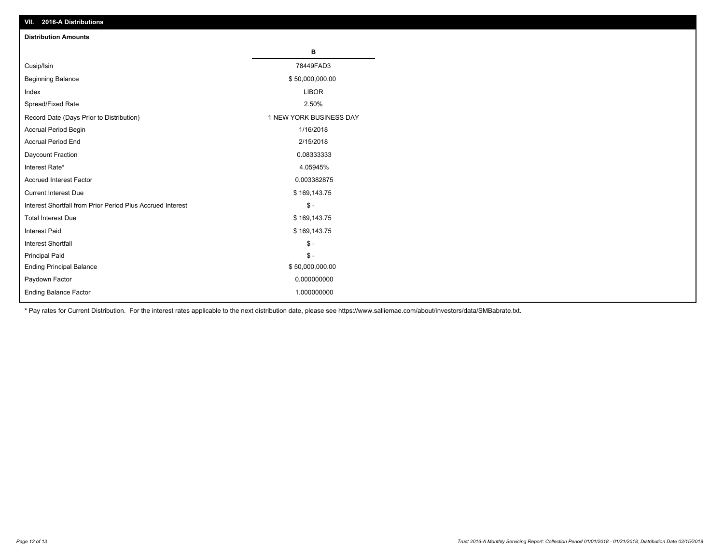| VII. 2016-A Distributions                                  |                         |
|------------------------------------------------------------|-------------------------|
| <b>Distribution Amounts</b>                                |                         |
|                                                            | $\, {\bf B}$            |
| Cusip/Isin                                                 | 78449FAD3               |
| <b>Beginning Balance</b>                                   | \$50,000,000.00         |
| Index                                                      | <b>LIBOR</b>            |
| Spread/Fixed Rate                                          | 2.50%                   |
| Record Date (Days Prior to Distribution)                   | 1 NEW YORK BUSINESS DAY |
| Accrual Period Begin                                       | 1/16/2018               |
| <b>Accrual Period End</b>                                  | 2/15/2018               |
| Daycount Fraction                                          | 0.08333333              |
| Interest Rate*                                             | 4.05945%                |
| Accrued Interest Factor                                    | 0.003382875             |
| Current Interest Due                                       | \$169,143.75            |
| Interest Shortfall from Prior Period Plus Accrued Interest | $\mathsf{\$}$ -         |
| <b>Total Interest Due</b>                                  | \$169,143.75            |
| <b>Interest Paid</b>                                       | \$169,143.75            |
| <b>Interest Shortfall</b>                                  | $\mathbb{S}$ -          |
| <b>Principal Paid</b>                                      | $\mathcal{S}$ -         |
| <b>Ending Principal Balance</b>                            | \$50,000,000.00         |
| Paydown Factor                                             | 0.000000000             |
| <b>Ending Balance Factor</b>                               | 1.000000000             |

\* Pay rates for Current Distribution. For the interest rates applicable to the next distribution date, please see https://www.salliemae.com/about/investors/data/SMBabrate.txt.